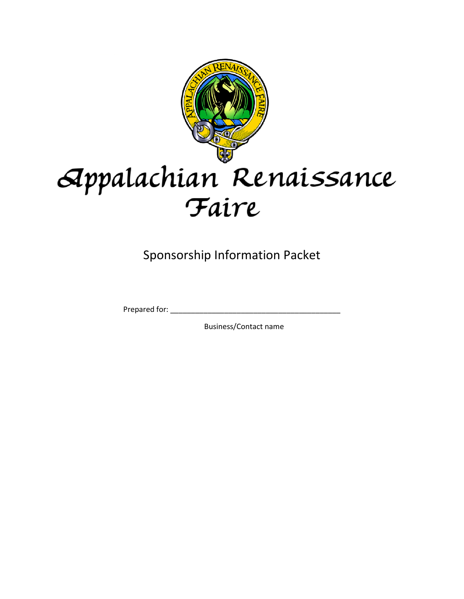

# Appalachian Renaissance Faire

Sponsorship Information Packet

Prepared for: \_\_\_\_\_\_\_\_\_\_\_\_\_\_\_\_\_\_\_\_\_\_\_\_\_\_\_\_\_\_\_\_\_\_\_\_\_\_\_\_\_

Business/Contact name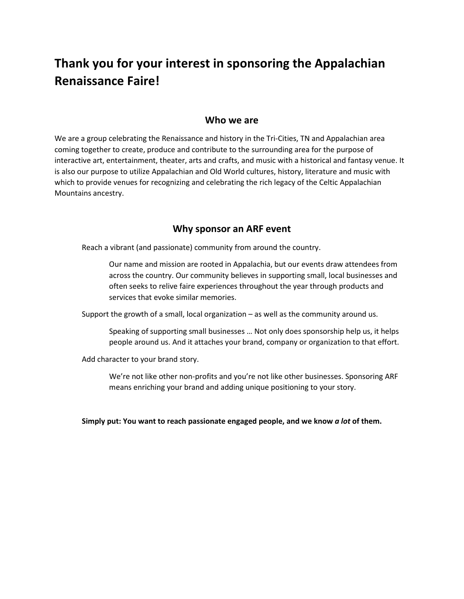# **Thank you for your interest in sponsoring the Appalachian Renaissance Faire!**

#### **Who we are**

We are a group celebrating the Renaissance and history in the Tri-Cities, TN and Appalachian area coming together to create, produce and contribute to the surrounding area for the purpose of interactive art, entertainment, theater, arts and crafts, and music with a historical and fantasy venue. It is also our purpose to utilize Appalachian and Old World cultures, history, literature and music with which to provide venues for recognizing and celebrating the rich legacy of the Celtic Appalachian Mountains ancestry.

#### **Why sponsor an ARF event**

Reach a vibrant (and passionate) community from around the country.

Our name and mission are rooted in Appalachia, but our events draw attendees from across the country. Our community believes in supporting small, local businesses and often seeks to relive faire experiences throughout the year through products and services that evoke similar memories.

Support the growth of a small, local organization – as well as the community around us.

Speaking of supporting small businesses … Not only does sponsorship help us, it helps people around us. And it attaches your brand, company or organization to that effort.

Add character to your brand story.

We're not like other non-profits and you're not like other businesses. Sponsoring ARF means enriching your brand and adding unique positioning to your story.

**Simply put: You want to reach passionate engaged people, and we know** *a lot* **of them.**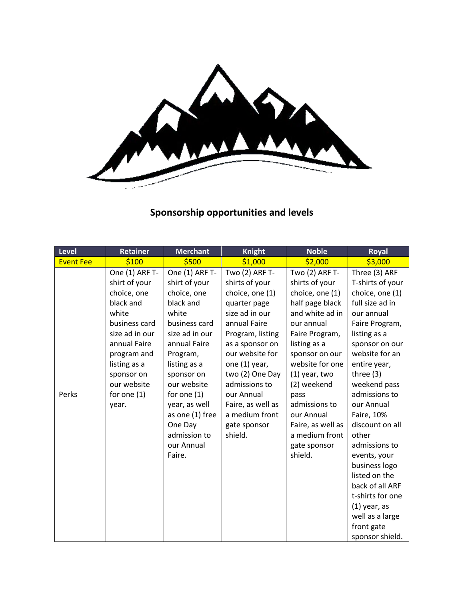

## **Sponsorship opportunities and levels**

| <b>Level</b>     | Retainer                                                                                                                                                                                                      | <b>Merchant</b>                                                                                                                                                                                                                                                                          | <b>Knight</b>                                                                                                                                                                                                                                                                                        | <b>Noble</b>                                                                                                                                                                                                                                                                                                              | Royal                                                                                                                                                                                                                                                                                                                                                                                                                                                               |
|------------------|---------------------------------------------------------------------------------------------------------------------------------------------------------------------------------------------------------------|------------------------------------------------------------------------------------------------------------------------------------------------------------------------------------------------------------------------------------------------------------------------------------------|------------------------------------------------------------------------------------------------------------------------------------------------------------------------------------------------------------------------------------------------------------------------------------------------------|---------------------------------------------------------------------------------------------------------------------------------------------------------------------------------------------------------------------------------------------------------------------------------------------------------------------------|---------------------------------------------------------------------------------------------------------------------------------------------------------------------------------------------------------------------------------------------------------------------------------------------------------------------------------------------------------------------------------------------------------------------------------------------------------------------|
| <b>Event Fee</b> | \$100                                                                                                                                                                                                         | \$500                                                                                                                                                                                                                                                                                    | \$1,000                                                                                                                                                                                                                                                                                              | \$2,000                                                                                                                                                                                                                                                                                                                   | \$3,000                                                                                                                                                                                                                                                                                                                                                                                                                                                             |
| Perks            | One (1) ARF T-<br>shirt of your<br>choice, one<br>black and<br>white<br>business card<br>size ad in our<br>annual Faire<br>program and<br>listing as a<br>sponsor on<br>our website<br>for one $(1)$<br>year. | One (1) ARF T-<br>shirt of your<br>choice, one<br>black and<br>white<br>business card<br>size ad in our<br>annual Faire<br>Program,<br>listing as a<br>sponsor on<br>our website<br>for one $(1)$<br>year, as well<br>as one (1) free<br>One Day<br>admission to<br>our Annual<br>Faire. | Two (2) ARF T-<br>shirts of your<br>choice, one (1)<br>quarter page<br>size ad in our<br>annual Faire<br>Program, listing<br>as a sponsor on<br>our website for<br>one (1) year,<br>two (2) One Day<br>admissions to<br>our Annual<br>Faire, as well as<br>a medium front<br>gate sponsor<br>shield. | Two (2) ARF T-<br>shirts of your<br>choice, one (1)<br>half page black<br>and white ad in<br>our annual<br>Faire Program,<br>listing as a<br>sponsor on our<br>website for one<br>$(1)$ year, two<br>(2) weekend<br>pass<br>admissions to<br>our Annual<br>Faire, as well as<br>a medium front<br>gate sponsor<br>shield. | Three (3) ARF<br>T-shirts of your<br>choice, one (1)<br>full size ad in<br>our annual<br>Faire Program,<br>listing as a<br>sponsor on our<br>website for an<br>entire year,<br>three $(3)$<br>weekend pass<br>admissions to<br>our Annual<br>Faire, 10%<br>discount on all<br>other<br>admissions to<br>events, your<br>business logo<br>listed on the<br>back of all ARF<br>t-shirts for one<br>$(1)$ year, as<br>well as a large<br>front gate<br>sponsor shield. |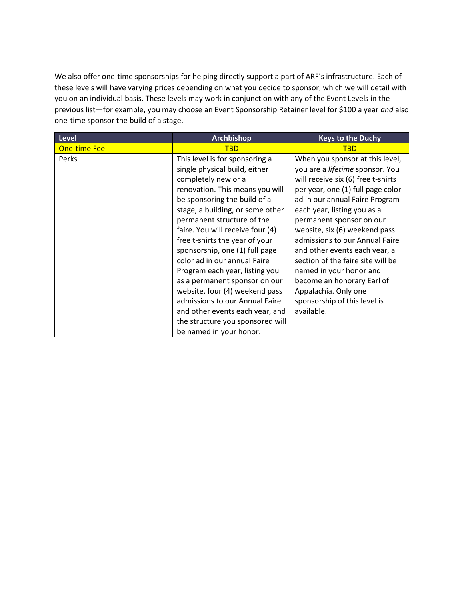We also offer one-time sponsorships for helping directly support a part of ARF's infrastructure. Each of these levels will have varying prices depending on what you decide to sponsor, which we will detail with you on an individual basis. These levels may work in conjunction with any of the Event Levels in the previous list—for example, you may choose an Event Sponsorship Retainer level for \$100 a year *and* also one-time sponsor the build of a stage.

| Level               | <b>Archbishop</b>                | <b>Keys to the Duchy</b>               |
|---------------------|----------------------------------|----------------------------------------|
| <b>One-time Fee</b> | <b>TBD</b>                       | <b>TBD</b>                             |
| Perks               | This level is for sponsoring a   | When you sponsor at this level,        |
|                     | single physical build, either    | you are a <i>lifetime</i> sponsor. You |
|                     | completely new or a              | will receive six (6) free t-shirts     |
|                     | renovation. This means you will  | per year, one (1) full page color      |
|                     | be sponsoring the build of a     | ad in our annual Faire Program         |
|                     | stage, a building, or some other | each year, listing you as a            |
|                     | permanent structure of the       | permanent sponsor on our               |
|                     | faire. You will receive four (4) | website, six (6) weekend pass          |
|                     | free t-shirts the year of your   | admissions to our Annual Faire         |
|                     | sponsorship, one (1) full page   | and other events each year, a          |
|                     | color ad in our annual Faire     | section of the faire site will be      |
|                     | Program each year, listing you   | named in your honor and                |
|                     | as a permanent sponsor on our    | become an honorary Earl of             |
|                     | website, four (4) weekend pass   | Appalachia. Only one                   |
|                     | admissions to our Annual Faire   | sponsorship of this level is           |
|                     | and other events each year, and  | available.                             |
|                     | the structure you sponsored will |                                        |
|                     | be named in your honor.          |                                        |